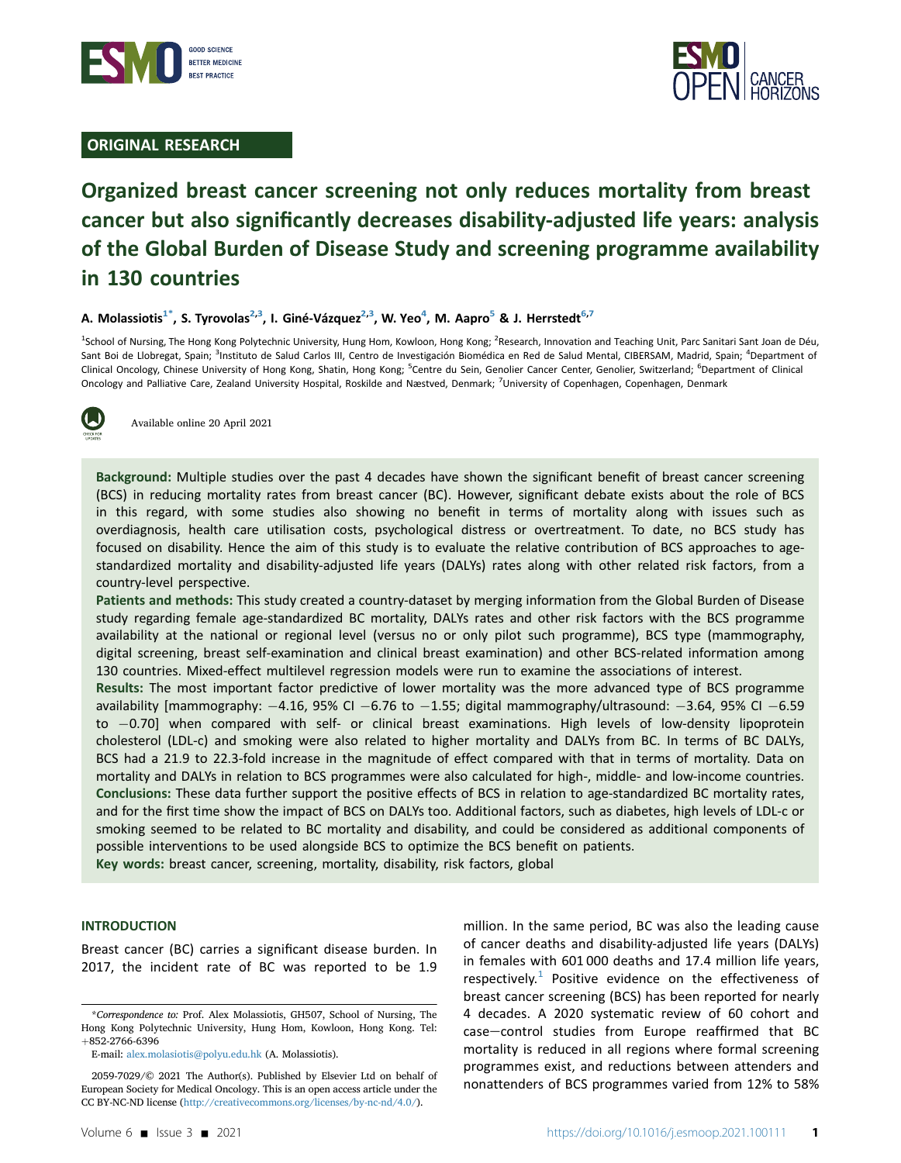

# ORIGINAL RESEARCH



# Organized breast cancer screening not only reduces mortality from breast cancer but also significantly decreases disability-adjusted life years: analysis of the Global Burden of Disease Study and screening programme availability in 130 countries

## A. Molassiotis<sup>[1](#page-0-0)\*</sup>, S. Tyrovolas<sup>[2](#page-0-0)[,3](#page-0-2)</sup>, I. Giné-Vázquez<sup>2,[3](#page-0-2)</sup>, W. Yeo<sup>[4](#page-0-2)</sup>, M. Aapro<sup>[5](#page-0-3)</sup> & J. Herrstedt<sup>[6,](#page-0-3)[7](#page-0-4)</sup>

<span id="page-0-3"></span><span id="page-0-2"></span><span id="page-0-0"></span><sup>1</sup>School of Nursing, The Hong Kong Polytechnic University, Hung Hom, Kowloon, Hong Kong; <sup>2</sup>Research, Innovation and Teaching Unit, Parc Sanitari Sant Joan de Déu, Sant Boi de Llobregat, Spain; <sup>3</sup>Instituto de Salud Carlos III, Centro de Investigación Biomédica en Red de Salud Mental, CIBERSAM, Madrid, Spain; <sup>4</sup>Department of Clinical Oncology, Chinese University of Hong Kong, Shatin, Hong Kong; <sup>5</sup>Centre du Sein, Genolier Cancer Center, Genolier, Switzerland; <sup>6</sup>Department of Clinical Oncology and Palliative Care, Zealand University Hospital, Roskilde and Næstved, Denmark; <sup>7</sup>University of Copenhagen, Copenhagen, Denmark

<span id="page-0-4"></span>

Available online 20 April 2021

Background: Multiple studies over the past 4 decades have shown the significant benefit of breast cancer screening (BCS) in reducing mortality rates from breast cancer (BC). However, significant debate exists about the role of BCS in this regard, with some studies also showing no benefit in terms of mortality along with issues such as overdiagnosis, health care utilisation costs, psychological distress or overtreatment. To date, no BCS study has focused on disability. Hence the aim of this study is to evaluate the relative contribution of BCS approaches to agestandardized mortality and disability-adjusted life years (DALYs) rates along with other related risk factors, from a country-level perspective.

Patients and methods: This study created a country-dataset by merging information from the Global Burden of Disease study regarding female age-standardized BC mortality, DALYs rates and other risk factors with the BCS programme availability at the national or regional level (versus no or only pilot such programme), BCS type (mammography, digital screening, breast self-examination and clinical breast examination) and other BCS-related information among 130 countries. Mixed-effect multilevel regression models were run to examine the associations of interest.

Results: The most important factor predictive of lower mortality was the more advanced type of BCS programme availability [mammography:  $-4.16$ , 95% CI  $-6.76$  to  $-1.55$ ; digital mammography/ultrasound:  $-3.64$ , 95% CI  $-6.59$ to -0.70] when compared with self- or clinical breast examinations. High levels of low-density lipoprotein cholesterol (LDL-c) and smoking were also related to higher mortality and DALYs from BC. In terms of BC DALYs, BCS had a 21.9 to 22.3-fold increase in the magnitude of effect compared with that in terms of mortality. Data on mortality and DALYs in relation to BCS programmes were also calculated for high-, middle- and low-income countries. Conclusions: These data further support the positive effects of BCS in relation to age-standardized BC mortality rates, and for the first time show the impact of BCS on DALYs too. Additional factors, such as diabetes, high levels of LDL-c or smoking seemed to be related to BC mortality and disability, and could be considered as additional components of possible interventions to be used alongside BCS to optimize the BCS benefit on patients.

Key words: breast cancer, screening, mortality, disability, risk factors, global

#### INTRODUCTION

Breast cancer (BC) carries a significant disease burden. In 2017, the incident rate of BC was reported to be 1.9

million. In the same period, BC was also the leading cause of cancer deaths and disability-adjusted life years (DALYs) in females with 601 000 deaths and 17.4 million life years, respectively.<sup>[1](#page-6-0)</sup> Positive evidence on the effectiveness of breast cancer screening (BCS) has been reported for nearly 4 decades. A 2020 systematic review of 60 cohort and case-control studies from Europe reaffirmed that BC mortality is reduced in all regions where formal screening programmes exist, and reductions between attenders and nonattenders of BCS programmes varied from 12% to 58%

<span id="page-0-1"></span><sup>\*</sup>Correspondence to: Prof. Alex Molassiotis, GH507, School of Nursing, The Hong Kong Polytechnic University, Hung Hom, Kowloon, Hong Kong. Tel: þ852-2766-6396

E-mail: [alex.molasiotis@polyu.edu.hk](mailto:alex.molasiotis@polyu.edu.hk) (A. Molassiotis).

<sup>2059-7029/© 2021</sup> The Author(s). Published by Elsevier Ltd on behalf of European Society for Medical Oncology. This is an open access article under the CC BY-NC-ND license (<http://creativecommons.org/licenses/by-nc-nd/4.0/>).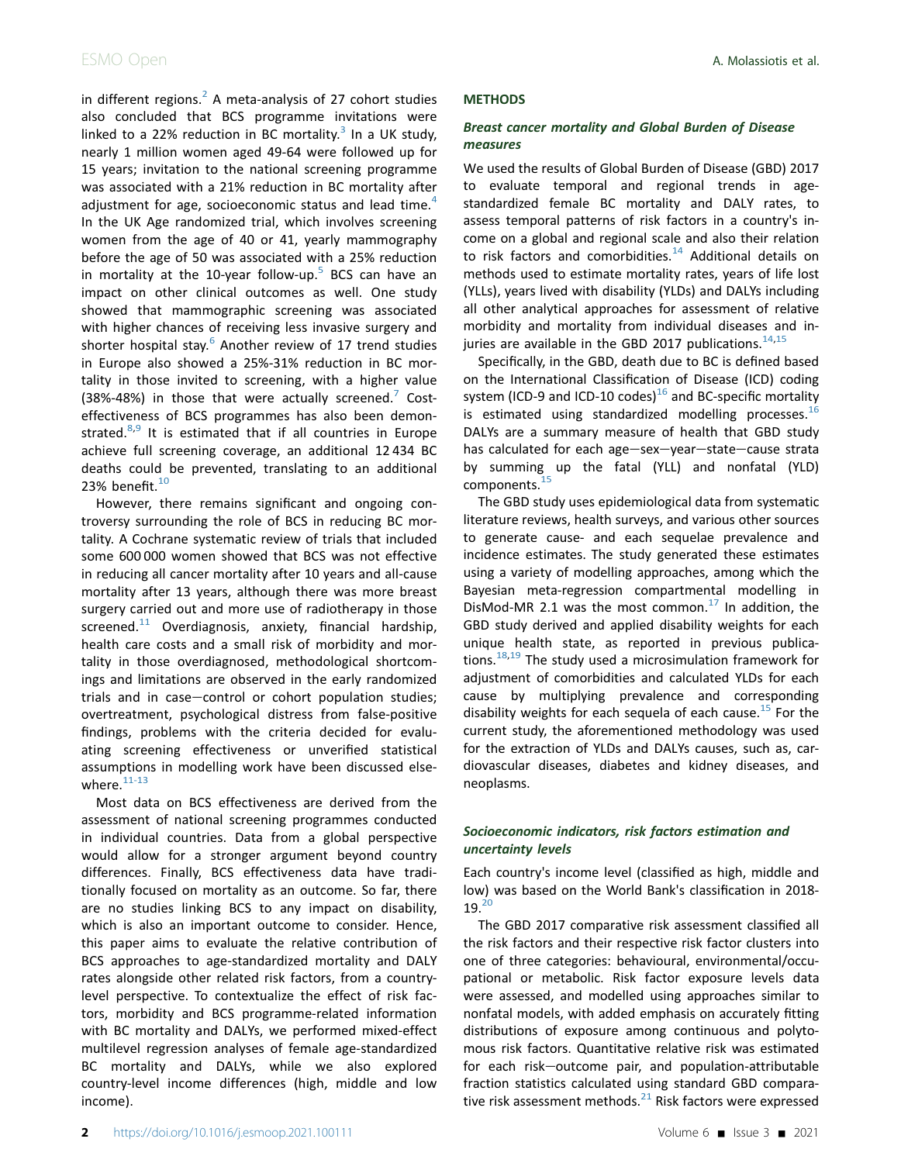in different regions. $<sup>2</sup>$  $<sup>2</sup>$  $<sup>2</sup>$  A meta-analysis of 27 cohort studies</sup> also concluded that BCS programme invitations were linked to a 22% reduction in BC mortality.<sup>[3](#page-6-2)</sup> In a UK study, nearly 1 million women aged 49-64 were followed up for 15 years; invitation to the national screening programme was associated with a 21% reduction in BC mortality after adjustment for age, socioeconomic status and lead time.<sup>[4](#page-6-3)</sup> In the UK Age randomized trial, which involves screening women from the age of 40 or 41, yearly mammography before the age of 50 was associated with a 25% reduction in mortality at the 10-year follow-up.<sup>[5](#page-6-4)</sup> BCS can have an impact on other clinical outcomes as well. One study showed that mammographic screening was associated with higher chances of receiving less invasive surgery and shorter hospital stay. $6$  Another review of 17 trend studies in Europe also showed a 25%-31% reduction in BC mortality in those invited to screening, with a higher value (38%-48%) in those that were actually screened. $\overline{7}$  $\overline{7}$  $\overline{7}$  Costeffectiveness of BCS programmes has also been demonstrated. $8,9$  $8,9$  It is estimated that if all countries in Europe achieve full screening coverage, an additional 12 434 BC deaths could be prevented, translating to an additional 23% benefit. $10$ 

However, there remains significant and ongoing controversy surrounding the role of BCS in reducing BC mortality. A Cochrane systematic review of trials that included some 600 000 women showed that BCS was not effective in reducing all cancer mortality after 10 years and all-cause mortality after 13 years, although there was more breast surgery carried out and more use of radiotherapy in those screened. $11$  Overdiagnosis, anxiety, financial hardship, health care costs and a small risk of morbidity and mortality in those overdiagnosed, methodological shortcomings and limitations are observed in the early randomized trials and in case-control or cohort population studies; overtreatment, psychological distress from false-positive findings, problems with the criteria decided for evaluating screening effectiveness or unverified statistical assumptions in modelling work have been discussed elsewhere. $11-13$ 

Most data on BCS effectiveness are derived from the assessment of national screening programmes conducted in individual countries. Data from a global perspective would allow for a stronger argument beyond country differences. Finally, BCS effectiveness data have traditionally focused on mortality as an outcome. So far, there are no studies linking BCS to any impact on disability, which is also an important outcome to consider. Hence, this paper aims to evaluate the relative contribution of BCS approaches to age-standardized mortality and DALY rates alongside other related risk factors, from a countrylevel perspective. To contextualize the effect of risk factors, morbidity and BCS programme-related information with BC mortality and DALYs, we performed mixed-effect multilevel regression analyses of female age-standardized BC mortality and DALYs, while we also explored country-level income differences (high, middle and low income).

### **METHODS**

## Breast cancer mortality and Global Burden of Disease measures

We used the results of Global Burden of Disease (GBD) 2017 to evaluate temporal and regional trends in agestandardized female BC mortality and DALY rates, to assess temporal patterns of risk factors in a country's income on a global and regional scale and also their relation to risk factors and comorbidities.<sup>[14](#page-6-11)</sup> Additional details on methods used to estimate mortality rates, years of life lost (YLLs), years lived with disability (YLDs) and DALYs including all other analytical approaches for assessment of relative morbidity and mortality from individual diseases and injuries are available in the GBD 2017 publications. $^{14,15}$  $^{14,15}$  $^{14,15}$  $^{14,15}$ 

Specifically, in the GBD, death due to BC is defined based on the International Classification of Disease (ICD) coding system (ICD-9 and ICD-10 codes) $16$  and BC-specific mortality is estimated using standardized modelling processes. $^{16}$  $^{16}$  $^{16}$ DALYs are a summary measure of health that GBD study has calculated for each age-sex-year-state-cause strata by summing up the fatal (YLL) and nonfatal (YLD) components.<sup>[15](#page-6-12)</sup>

The GBD study uses epidemiological data from systematic literature reviews, health surveys, and various other sources to generate cause- and each sequelae prevalence and incidence estimates. The study generated these estimates using a variety of modelling approaches, among which the Bayesian meta-regression compartmental modelling in DisMod-MR 2.1 was the most common. $^{17}$  $^{17}$  $^{17}$  In addition, the GBD study derived and applied disability weights for each unique health state, as reported in previous publica-tions.<sup>[18,](#page-7-1)[19](#page-7-2)</sup> The study used a microsimulation framework for adjustment of comorbidities and calculated YLDs for each cause by multiplying prevalence and corresponding disability weights for each sequela of each cause.<sup>[15](#page-6-12)</sup> For the current study, the aforementioned methodology was used for the extraction of YLDs and DALYs causes, such as, cardiovascular diseases, diabetes and kidney diseases, and neoplasms.

## Socioeconomic indicators, risk factors estimation and uncertainty levels

Each country's income level (classified as high, middle and low) was based on the World Bank's classification in 2018-  $19.<sup>20</sup>$  $19.<sup>20</sup>$  $19.<sup>20</sup>$ 

The GBD 2017 comparative risk assessment classified all the risk factors and their respective risk factor clusters into one of three categories: behavioural, environmental/occupational or metabolic. Risk factor exposure levels data were assessed, and modelled using approaches similar to nonfatal models, with added emphasis on accurately fitting distributions of exposure among continuous and polytomous risk factors. Quantitative relative risk was estimated for each risk-outcome pair, and population-attributable fraction statistics calculated using standard GBD comparative risk assessment methods. $^{21}$  $^{21}$  $^{21}$  Risk factors were expressed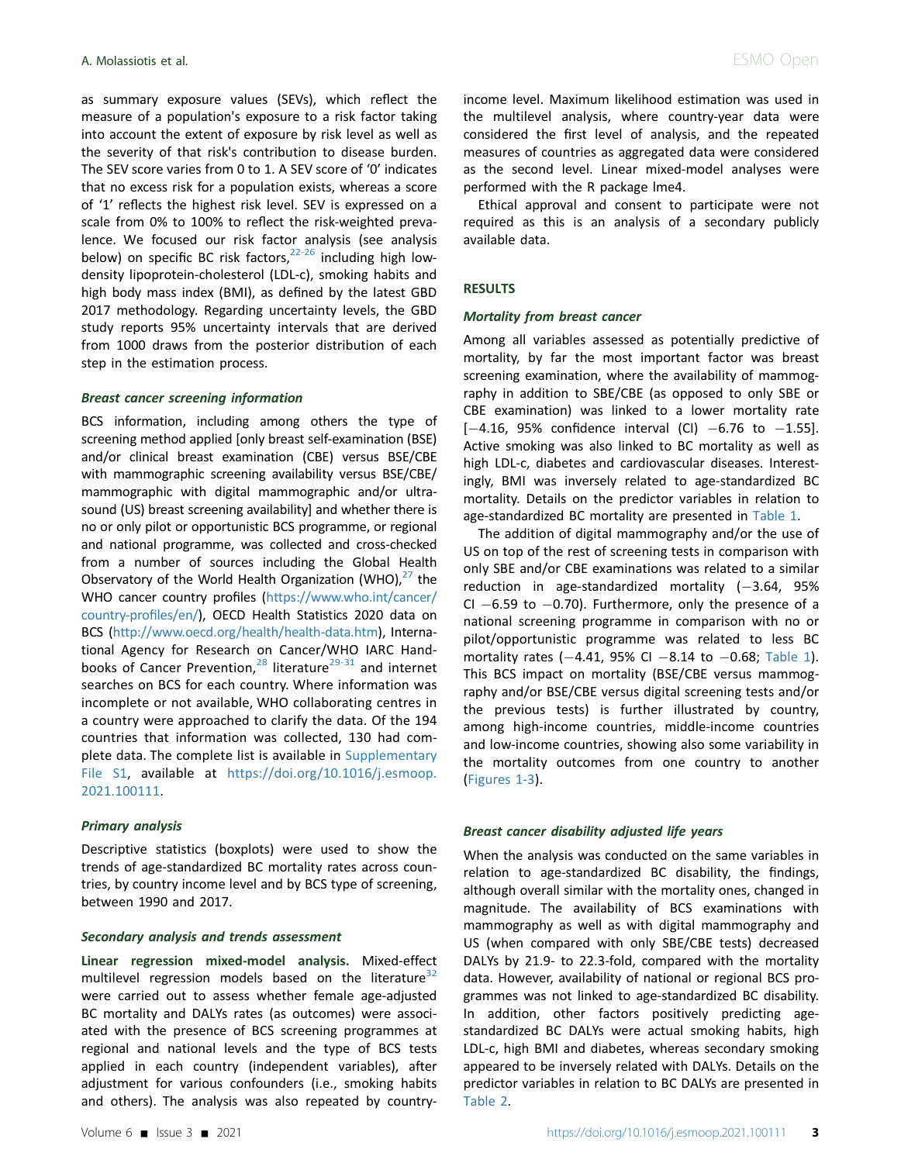as summary exposure values (SEVs), which reflect the measure of a population's exposure to a risk factor taking into account the extent of exposure by risk level as well as the severity of that risk's contribution to disease burden. The SEV score varies from 0 to 1. A SEV score of '0' indicates that no excess risk for a population exists, whereas a score of '1' reflects the highest risk level. SEV is expressed on a scale from 0% to 100% to reflect the risk-weighted prevalence. We focused our risk factor analysis (see analysis below) on specific BC risk factors, $22-26$  including high lowdensity lipoprotein-cholesterol (LDL-c), smoking habits and high body mass index (BMI), as defined by the latest GBD 2017 methodology. Regarding uncertainty levels, the GBD study reports 95% uncertainty intervals that are derived from 1000 draws from the posterior distribution of each step in the estimation process.

#### Breast cancer screening information

BCS information, including among others the type of screening method applied [only breast self-examination (BSE) and/or clinical breast examination (CBE) versus BSE/CBE with mammographic screening availability versus BSE/CBE/ mammographic with digital mammographic and/or ultrasound (US) breast screening availability] and whether there is no or only pilot or opportunistic BCS programme, or regional and national programme, was collected and cross-checked from a number of sources including the Global Health Observatory of the World Health Organization (WHO), $27$  the WHO cancer country profiles [\(https://www.who.int/cancer/](https://www.who.int/cancer/country-profiles/en/) [country-pro](https://www.who.int/cancer/country-profiles/en/)files/en/), OECD Health Statistics 2020 data on BCS ([http://www.oecd.org/health/health-data.htm\)](http://www.oecd.org/health/health-data.htm), International Agency for Research on Cancer/WHO IARC Hand-books of Cancer Prevention,<sup>[28](#page-7-7)</sup> literature<sup>[29-31](#page-7-8)</sup> and internet searches on BCS for each country. Where information was incomplete or not available, WHO collaborating centres in a country were approached to clarify the data. Of the 194 countries that information was collected, 130 had complete data. The complete list is available in Supplementary File S1, available at [https://doi.org/10.1016/j.esmoop.](https://doi.org/10.1016/j.esmoop.2021.100111) [2021.100111.](https://doi.org/10.1016/j.esmoop.2021.100111)

### Primary analysis

Descriptive statistics (boxplots) were used to show the trends of age-standardized BC mortality rates across countries, by country income level and by BCS type of screening, between 1990 and 2017.

### Secondary analysis and trends assessment

Linear regression mixed-model analysis. Mixed-effect multilevel regression models based on the literature<sup>[32](#page-7-9)</sup> were carried out to assess whether female age-adjusted BC mortality and DALYs rates (as outcomes) were associated with the presence of BCS screening programmes at regional and national levels and the type of BCS tests applied in each country (independent variables), after adjustment for various confounders (i.e., smoking habits and others). The analysis was also repeated by countryincome level. Maximum likelihood estimation was used in the multilevel analysis, where country-year data were considered the first level of analysis, and the repeated measures of countries as aggregated data were considered as the second level. Linear mixed-model analyses were performed with the R package lme4.

Ethical approval and consent to participate were not required as this is an analysis of a secondary publicly available data.

#### RESULTS

#### Mortality from breast cancer

Among all variables assessed as potentially predictive of mortality, by far the most important factor was breast screening examination, where the availability of mammography in addition to SBE/CBE (as opposed to only SBE or CBE examination) was linked to a lower mortality rate  $[-4.16, 95\%$  confidence interval (CI)  $-6.76$  to  $-1.55$ ]. Active smoking was also linked to BC mortality as well as high LDL-c, diabetes and cardiovascular diseases. Interestingly, BMI was inversely related to age-standardized BC mortality. Details on the predictor variables in relation to age-standardized BC mortality are presented in [Table 1](#page-3-0).

The addition of digital mammography and/or the use of US on top of the rest of screening tests in comparison with only SBE and/or CBE examinations was related to a similar reduction in age-standardized mortality  $(-3.64, 95\%)$ CI  $-6.59$  to  $-0.70$ ). Furthermore, only the presence of a national screening programme in comparison with no or pilot/opportunistic programme was related to less BC mortality rates (-4.41, 95% CI -8.14 to -0.68; [Table 1](#page-3-0)). This BCS impact on mortality (BSE/CBE versus mammography and/or BSE/CBE versus digital screening tests and/or the previous tests) is further illustrated by country, among high-income countries, middle-income countries and low-income countries, showing also some variability in the mortality outcomes from one country to another [\(Figures 1-3\)](#page-3-1).

#### Breast cancer disability adjusted life years

When the analysis was conducted on the same variables in relation to age-standardized BC disability, the findings, although overall similar with the mortality ones, changed in magnitude. The availability of BCS examinations with mammography as well as with digital mammography and US (when compared with only SBE/CBE tests) decreased DALYs by 21.9- to 22.3-fold, compared with the mortality data. However, availability of national or regional BCS programmes was not linked to age-standardized BC disability. In addition, other factors positively predicting agestandardized BC DALYs were actual smoking habits, high LDL-c, high BMI and diabetes, whereas secondary smoking appeared to be inversely related with DALYs. Details on the predictor variables in relation to BC DALYs are presented in [Table 2](#page-5-0).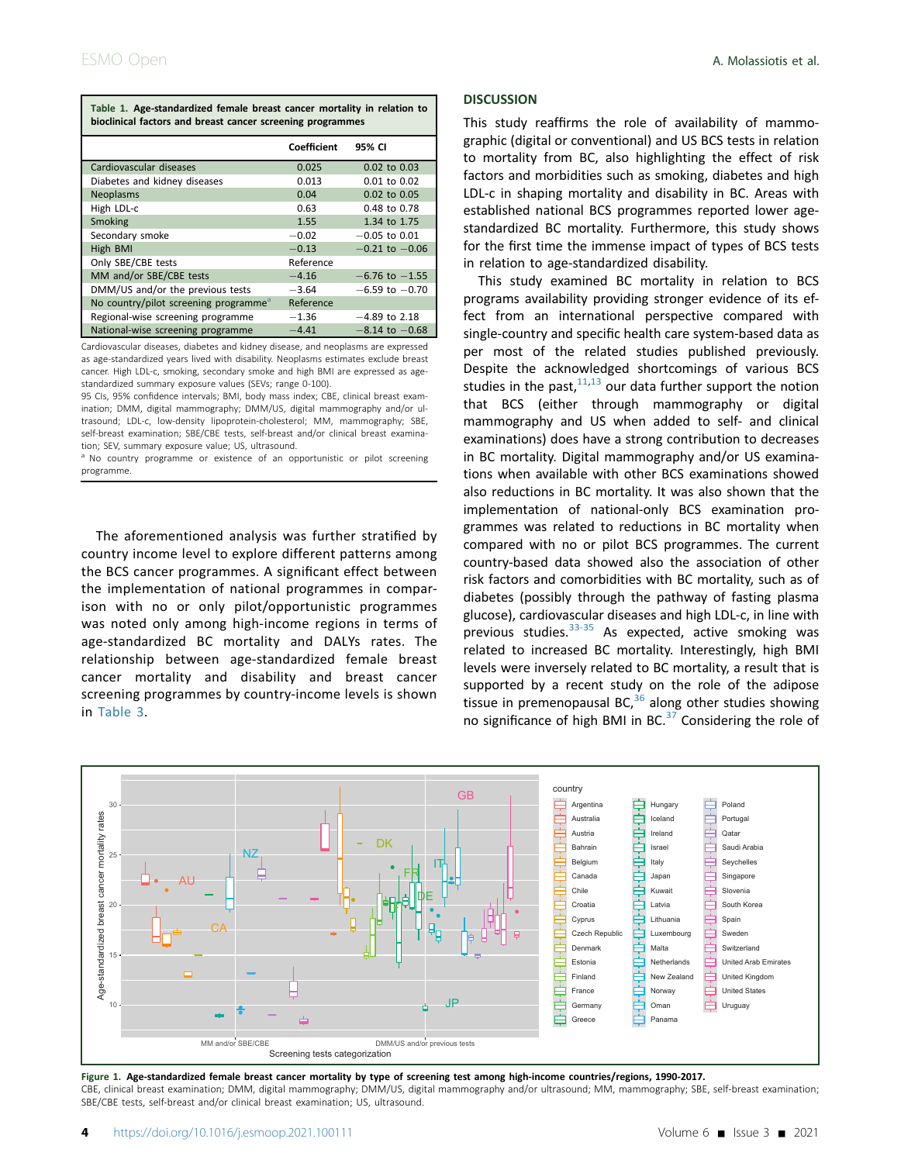<span id="page-3-0"></span>

| Table 1. Age-standardized female breast cancer mortality in relation to |  |  |  |  |  |
|-------------------------------------------------------------------------|--|--|--|--|--|
| bioclinical factors and breast cancer screening programmes              |  |  |  |  |  |

|                                                   | Coefficient                   | 95% CI             |  |  |
|---------------------------------------------------|-------------------------------|--------------------|--|--|
| Cardiovascular diseases                           | 0.025                         | 0.02 to 0.03       |  |  |
| Diabetes and kidney diseases                      | 0.013                         | $0.01$ to $0.02$   |  |  |
| Neoplasms                                         | 0.04                          | 0.02 to 0.05       |  |  |
| High LDL-c                                        | 0.63                          | 0.48 to 0.78       |  |  |
| Smoking                                           | 1.55                          | 1.34 to 1.75       |  |  |
| Secondary smoke                                   | $-0.02$                       | $-0.05$ to 0.01    |  |  |
| High BMI                                          | $-0.21$ to $-0.06$<br>$-0.13$ |                    |  |  |
| Only SBE/CBE tests                                | Reference                     |                    |  |  |
| MM and/or SBE/CBE tests                           | $-4.16$                       | $-6.76$ to $-1.55$ |  |  |
| DMM/US and/or the previous tests                  | $-3.64$                       | $-6.59$ to $-0.70$ |  |  |
| No country/pilot screening programme <sup>a</sup> | Reference                     |                    |  |  |
| Regional-wise screening programme                 | $-1.36$                       | $-4.89$ to 2.18    |  |  |
| National-wise screening programme                 | $-4.41$                       | $-8.14$ to $-0.68$ |  |  |

Cardiovascular diseases, diabetes and kidney disease, and neoplasms are expressed as age-standardized years lived with disability. Neoplasms estimates exclude breast cancer. High LDL-c, smoking, secondary smoke and high BMI are expressed as agestandardized summary exposure values (SEVs; range 0-100).

95 CIs, 95% confidence intervals; BMI, body mass index; CBE, clinical breast examination; DMM, digital mammography; DMM/US, digital mammography and/or ultrasound; LDL-c, low-density lipoprotein-cholesterol; MM, mammography; SBE, self-breast examination; SBE/CBE tests, self-breast and/or clinical breast examination; SEV, summary exposure value; US, ultrasound.

<span id="page-3-2"></span><sup>a</sup> No country programme or existence of an opportunistic or pilot screening programme.

The aforementioned analysis was further stratified by country income level to explore different patterns among the BCS cancer programmes. A significant effect between the implementation of national programmes in comparison with no or only pilot/opportunistic programmes was noted only among high-income regions in terms of age-standardized BC mortality and DALYs rates. The relationship between age-standardized female breast cancer mortality and disability and breast cancer screening programmes by country-income levels is shown in [Table 3](#page-5-1).

#### **DISCUSSION**

This study reaffirms the role of availability of mammographic (digital or conventional) and US BCS tests in relation to mortality from BC, also highlighting the effect of risk factors and morbidities such as smoking, diabetes and high LDL-c in shaping mortality and disability in BC. Areas with established national BCS programmes reported lower agestandardized BC mortality. Furthermore, this study shows for the first time the immense impact of types of BCS tests in relation to age-standardized disability.

This study examined BC mortality in relation to BCS programs availability providing stronger evidence of its effect from an international perspective compared with single-country and specific health care system-based data as per most of the related studies published previously. Despite the acknowledged shortcomings of various BCS studies in the past, $11,13$  $11,13$  our data further support the notion that BCS (either through mammography or digital mammography and US when added to self- and clinical examinations) does have a strong contribution to decreases in BC mortality. Digital mammography and/or US examinations when available with other BCS examinations showed also reductions in BC mortality. It was also shown that the implementation of national-only BCS examination programmes was related to reductions in BC mortality when compared with no or pilot BCS programmes. The current country-based data showed also the association of other risk factors and comorbidities with BC mortality, such as of diabetes (possibly through the pathway of fasting plasma glucose), cardiovascular diseases and high LDL-c, in line with previous studies. $33-35$  As expected, active smoking was related to increased BC mortality. Interestingly, high BMI levels were inversely related to BC mortality, a result that is supported by a recent study on the role of the adipose tissue in premenopausal BC, $36$  along other studies showing no significance of high BMI in BC. $37$  Considering the role of

<span id="page-3-1"></span>

Figure 1. Age-standardized female breast cancer mortality by type of screening test among high-income countries/regions, 1990-2017. CBE, clinical breast examination; DMM, digital mammography; DMM/US, digital mammography and/or ultrasound; MM, mammography; SBE, self-breast examination; SBE/CBE tests, self-breast and/or clinical breast examination; US, ultrasound.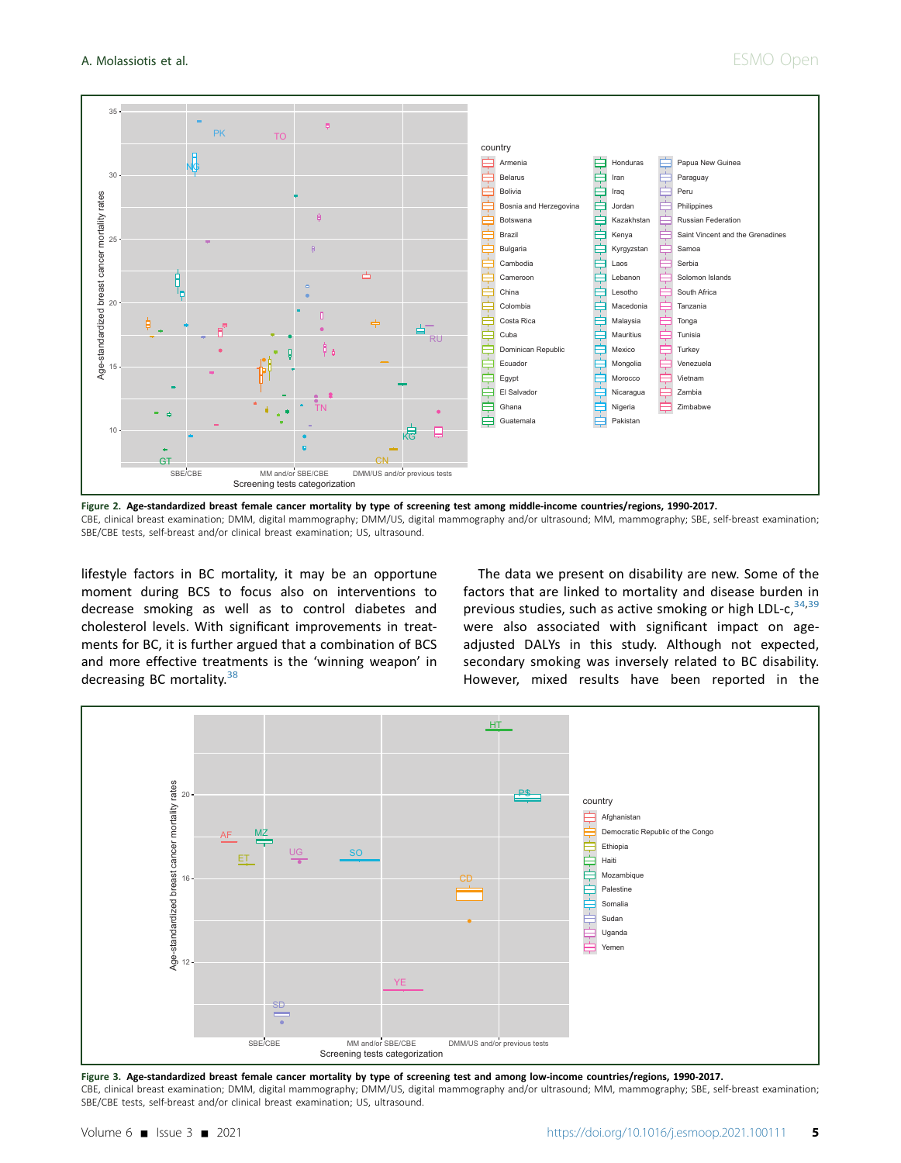<span id="page-4-0"></span>

Figure 2. Age-standardized breast female cancer mortality by type of screening test among middle-income countries/regions, 1990-2017. CBE, clinical breast examination; DMM, digital mammography; DMM/US, digital mammography and/or ultrasound; MM, mammography; SBE, self-breast examination; SBE/CBE tests, self-breast and/or clinical breast examination; US, ultrasound.

lifestyle factors in BC mortality, it may be an opportune moment during BCS to focus also on interventions to decrease smoking as well as to control diabetes and cholesterol levels. With significant improvements in treatments for BC, it is further argued that a combination of BCS and more effective treatments is the 'winning weapon' in decreasing BC mortality.<sup>[38](#page-7-13)</sup>

The data we present on disability are new. Some of the factors that are linked to mortality and disease burden in previous studies, such as active smoking or high LDL- $c,34,39$  $c,34,39$  $c,34,39$ were also associated with significant impact on ageadjusted DALYs in this study. Although not expected, secondary smoking was inversely related to BC disability. However, mixed results have been reported in the

<span id="page-4-1"></span>

Figure 3. Age-standardized breast female cancer mortality by type of screening test and among low-income countries/regions, 1990-2017.

CBE, clinical breast examination; DMM, digital mammography; DMM/US, digital mammography and/or ultrasound; MM, mammography; SBE, self-breast examination; SBE/CBE tests, self-breast and/or clinical breast examination; US, ultrasound.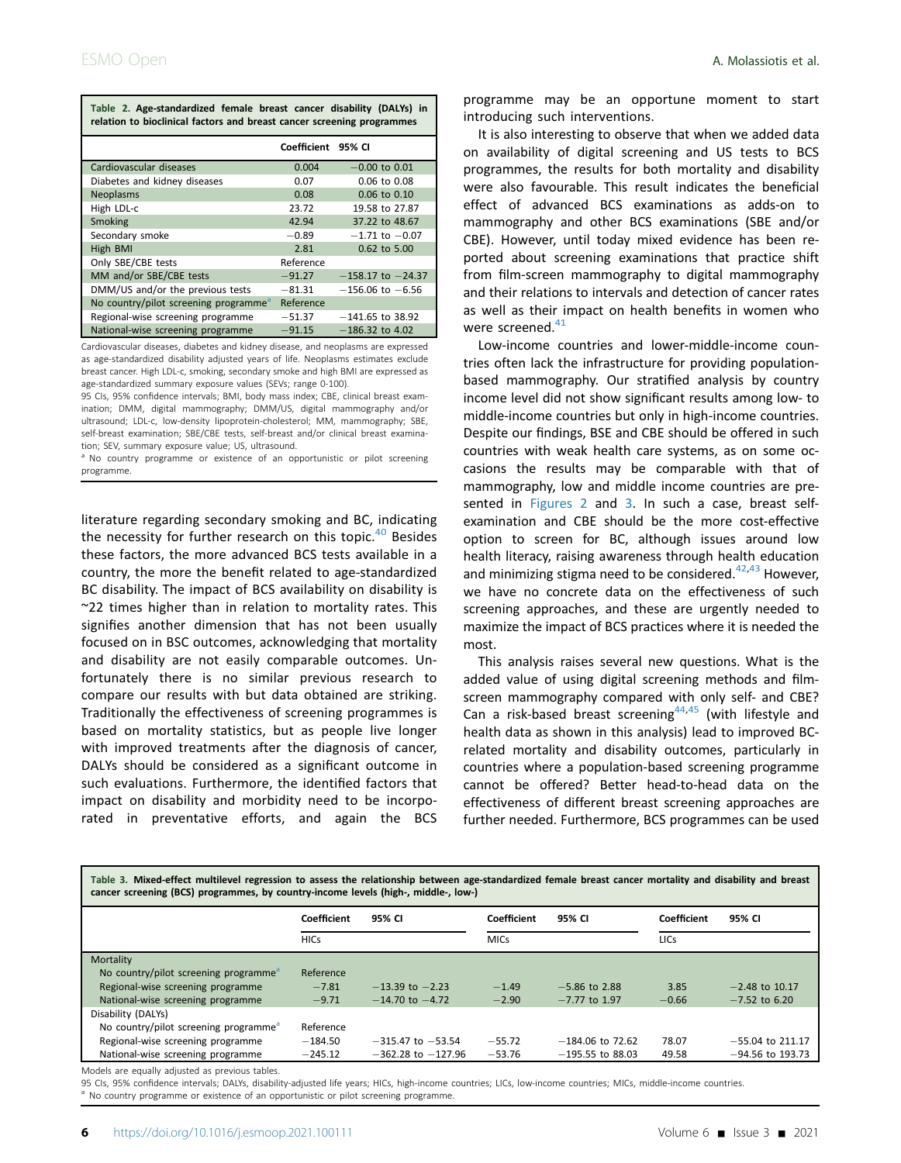<span id="page-5-0"></span>

| Table 2. Age-standardized female breast cancer disability (DALYs) in<br>relation to bioclinical factors and breast cancer screening programmes |                    |                       |  |  |  |  |  |  |
|------------------------------------------------------------------------------------------------------------------------------------------------|--------------------|-----------------------|--|--|--|--|--|--|
|                                                                                                                                                | Coefficient 95% CI |                       |  |  |  |  |  |  |
| Cardiovascular diseases                                                                                                                        | 0.004              | $-0.00$ to 0.01       |  |  |  |  |  |  |
| Diabetes and kidney diseases                                                                                                                   | 0.07               | $0.06$ to $0.08$      |  |  |  |  |  |  |
| Neoplasms                                                                                                                                      | 0.08               | 0.06 to 0.10          |  |  |  |  |  |  |
| High LDL-c                                                                                                                                     | 23.72              | 19.58 to 27.87        |  |  |  |  |  |  |
| Smoking                                                                                                                                        | 42.94              | 37.22 to 48.67        |  |  |  |  |  |  |
| Secondary smoke                                                                                                                                | $-0.89$            | $-1.71$ to $-0.07$    |  |  |  |  |  |  |
| High BMI                                                                                                                                       | 2.81               | $0.62$ to 5.00        |  |  |  |  |  |  |
| Only SBE/CBE tests                                                                                                                             | Reference          |                       |  |  |  |  |  |  |
| MM and/or SBE/CBE tests                                                                                                                        | $-91.27$           | $-158.17$ to $-24.37$ |  |  |  |  |  |  |
| DMM/US and/or the previous tests                                                                                                               | $-81.31$           | $-156.06$ to $-6.56$  |  |  |  |  |  |  |
| No country/pilot screening programme <sup>a</sup>                                                                                              | Reference          |                       |  |  |  |  |  |  |
| Regional-wise screening programme                                                                                                              | $-51.37$           | $-141.65$ to 38.92    |  |  |  |  |  |  |
| National-wise screening programme                                                                                                              | $-91.15$           | $-186.32$ to 4.02     |  |  |  |  |  |  |

Cardiovascular diseases, diabetes and kidney disease, and neoplasms are expressed as age-standardized disability adjusted years of life. Neoplasms estimates exclude breast cancer. High LDL-c, smoking, secondary smoke and high BMI are expressed as age-standardized summary exposure values (SEVs; range 0-100).

95 CIs, 95% confidence intervals; BMI, body mass index; CBE, clinical breast examination; DMM, digital mammography; DMM/US, digital mammography and/or ultrasound; LDL-c, low-density lipoprotein-cholesterol; MM, mammography; SBE, self-breast examination; SBE/CBE tests, self-breast and/or clinical breast examination; SEV, summary exposure value; US, ultrasound.

<span id="page-5-2"></span><sup>a</sup> No country programme or existence of an opportunistic or pilot screening programme.

literature regarding secondary smoking and BC, indicating the necessity for further research on this topic. $40$  Besides these factors, the more advanced BCS tests available in a country, the more the benefit related to age-standardized BC disability. The impact of BCS availability on disability is ~22 times higher than in relation to mortality rates. This signifies another dimension that has not been usually focused on in BSC outcomes, acknowledging that mortality and disability are not easily comparable outcomes. Unfortunately there is no similar previous research to compare our results with but data obtained are striking. Traditionally the effectiveness of screening programmes is based on mortality statistics, but as people live longer with improved treatments after the diagnosis of cancer, DALYs should be considered as a significant outcome in such evaluations. Furthermore, the identified factors that impact on disability and morbidity need to be incorporated in preventative efforts, and again the BCS

programme may be an opportune moment to start introducing such interventions.

It is also interesting to observe that when we added data on availability of digital screening and US tests to BCS programmes, the results for both mortality and disability were also favourable. This result indicates the beneficial effect of advanced BCS examinations as adds-on to mammography and other BCS examinations (SBE and/or CBE). However, until today mixed evidence has been reported about screening examinations that practice shift from film-screen mammography to digital mammography and their relations to intervals and detection of cancer rates as well as their impact on health benefits in women who were screened. $41$ 

Low-income countries and lower-middle-income countries often lack the infrastructure for providing populationbased mammography. Our stratified analysis by country income level did not show significant results among low- to middle-income countries but only in high-income countries. Despite our findings, BSE and CBE should be offered in such countries with weak health care systems, as on some occasions the results may be comparable with that of mammography, low and middle income countries are pre-sented in [Figures 2](#page-4-0) and [3](#page-4-1). In such a case, breast selfexamination and CBE should be the more cost-effective option to screen for BC, although issues around low health literacy, raising awareness through health education and minimizing stigma need to be considered. $42,43$  $42,43$  However, we have no concrete data on the effectiveness of such screening approaches, and these are urgently needed to maximize the impact of BCS practices where it is needed the most.

This analysis raises several new questions. What is the added value of using digital screening methods and filmscreen mammography compared with only self- and CBE? Can a risk-based breast screening<sup>[44](#page-7-20),[45](#page-7-21)</sup> (with lifestyle and health data as shown in this analysis) lead to improved BCrelated mortality and disability outcomes, particularly in countries where a population-based screening programme cannot be offered? Better head-to-head data on the effectiveness of different breast screening approaches are further needed. Furthermore, BCS programmes can be used

<span id="page-5-1"></span>

| Table 3. Mixed-effect multilevel regression to assess the relationship between age-standardized female breast cancer mortality and disability and breast<br>cancer screening (BCS) programmes, by country-income levels (high-, middle-, low-) |             |                        |             |                    |             |                    |  |  |
|------------------------------------------------------------------------------------------------------------------------------------------------------------------------------------------------------------------------------------------------|-------------|------------------------|-------------|--------------------|-------------|--------------------|--|--|
|                                                                                                                                                                                                                                                | Coefficient | 95% CI                 | Coefficient | 95% CI             | Coefficient | 95% CI             |  |  |
|                                                                                                                                                                                                                                                | <b>HICs</b> |                        | <b>MICs</b> |                    | <b>LICs</b> |                    |  |  |
| Mortality                                                                                                                                                                                                                                      |             |                        |             |                    |             |                    |  |  |
| No country/pilot screening programme <sup>a</sup>                                                                                                                                                                                              | Reference   |                        |             |                    |             |                    |  |  |
| Regional-wise screening programme                                                                                                                                                                                                              | $-7.81$     | $-13.39$ to $-2.23$    | $-1.49$     | $-5.86$ to 2.88    | 3.85        | $-2.48$ to 10.17   |  |  |
| National-wise screening programme                                                                                                                                                                                                              | $-9.71$     | $-14.70$ to $-4.72$    | $-2.90$     | $-7.77$ to 1.97    | $-0.66$     | $-7.52$ to 6.20    |  |  |
| Disability (DALYs)                                                                                                                                                                                                                             |             |                        |             |                    |             |                    |  |  |
| No country/pilot screening programme <sup>a</sup>                                                                                                                                                                                              | Reference   |                        |             |                    |             |                    |  |  |
| Regional-wise screening programme                                                                                                                                                                                                              | $-184.50$   | $-315.47$ to $-53.54$  | $-55.72$    | $-184.06$ to 72.62 | 78.07       | $-55.04$ to 211.17 |  |  |
| National-wise screening programme                                                                                                                                                                                                              | $-245.12$   | $-362.28$ to $-127.96$ | $-53.76$    | $-195.55$ to 88.03 | 49.58       | $-94.56$ to 193.73 |  |  |

Models are equally adjusted as previous tables.

<span id="page-5-3"></span>95 Cls, 95% confidence intervals; DALYs, disability-adjusted life years; HICs, high-income countries; LICs, low-income countries; MICs, middle-income countries.<br><sup>a</sup> No country programme or existence of an opportunistic or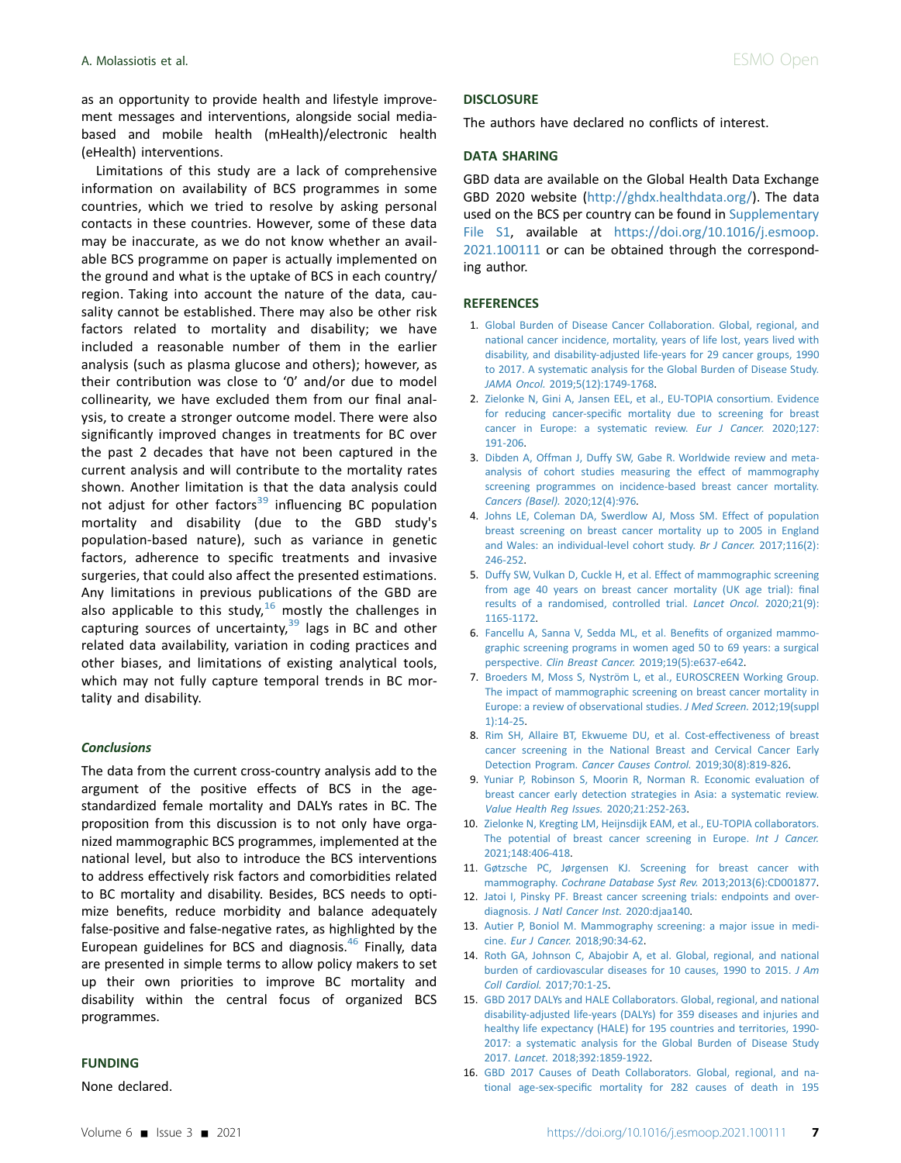as an opportunity to provide health and lifestyle improvement messages and interventions, alongside social mediabased and mobile health (mHealth)/electronic health (eHealth) interventions.

Limitations of this study are a lack of comprehensive information on availability of BCS programmes in some countries, which we tried to resolve by asking personal contacts in these countries. However, some of these data may be inaccurate, as we do not know whether an available BCS programme on paper is actually implemented on the ground and what is the uptake of BCS in each country/ region. Taking into account the nature of the data, causality cannot be established. There may also be other risk factors related to mortality and disability; we have included a reasonable number of them in the earlier analysis (such as plasma glucose and others); however, as their contribution was close to '0' and/or due to model collinearity, we have excluded them from our final analysis, to create a stronger outcome model. There were also significantly improved changes in treatments for BC over the past 2 decades that have not been captured in the current analysis and will contribute to the mortality rates shown. Another limitation is that the data analysis could not adjust for other factors<sup>[39](#page-7-15)</sup> influencing BC population mortality and disability (due to the GBD study's population-based nature), such as variance in genetic factors, adherence to specific treatments and invasive surgeries, that could also affect the presented estimations. Any limitations in previous publications of the GBD are also applicable to this study,<sup>[16](#page-6-13)</sup> mostly the challenges in capturing sources of uncertainty, $39$  lags in BC and other related data availability, variation in coding practices and other biases, and limitations of existing analytical tools, which may not fully capture temporal trends in BC mortality and disability.

#### **Conclusions**

The data from the current cross-country analysis add to the argument of the positive effects of BCS in the agestandardized female mortality and DALYs rates in BC. The proposition from this discussion is to not only have organized mammographic BCS programmes, implemented at the national level, but also to introduce the BCS interventions to address effectively risk factors and comorbidities related to BC mortality and disability. Besides, BCS needs to optimize benefits, reduce morbidity and balance adequately false-positive and false-negative rates, as highlighted by the European guidelines for BCS and diagnosis.<sup>46</sup> Finally, data are presented in simple terms to allow policy makers to set up their own priorities to improve BC mortality and disability within the central focus of organized BCS programmes.

#### FUNDING

None declared.

### **DISCLOSURE**

The authors have declared no conflicts of interest.

## DATA SHARING

GBD data are available on the Global Health Data Exchange GBD 2020 website [\(http://ghdx.healthdata.org/\)](http://ghdx.healthdata.org/). The data used on the BCS per country can be found in Supplementary File S1, available at [https://doi.org/10.1016/j.esmoop.](https://doi.org/10.1016/j.esmoop.2021.100111) [2021.100111](https://doi.org/10.1016/j.esmoop.2021.100111) or can be obtained through the corresponding author.

#### **REFERENCES**

- <span id="page-6-0"></span>1. [Global Burden of Disease Cancer Collaboration. Global, regional, and](http://refhub.elsevier.com/S2059-7029(21)00069-7/sref1) [national cancer incidence, mortality, years of life lost, years lived with](http://refhub.elsevier.com/S2059-7029(21)00069-7/sref1) [disability, and disability-adjusted life-years for 29 cancer groups, 1990](http://refhub.elsevier.com/S2059-7029(21)00069-7/sref1) [to 2017. A systematic analysis for the Global Burden of Disease Study.](http://refhub.elsevier.com/S2059-7029(21)00069-7/sref1) JAMA Oncol. [2019;5\(12\):1749-1768.](http://refhub.elsevier.com/S2059-7029(21)00069-7/sref1)
- <span id="page-6-1"></span>2. [Zielonke N, Gini A, Jansen EEL, et al., EU-TOPIA consortium. Evidence](http://refhub.elsevier.com/S2059-7029(21)00069-7/sref2) for reducing cancer-specifi[c mortality due to screening for breast](http://refhub.elsevier.com/S2059-7029(21)00069-7/sref2) [cancer in Europe: a systematic review.](http://refhub.elsevier.com/S2059-7029(21)00069-7/sref2) Eur J Cancer. 2020;127: [191-206](http://refhub.elsevier.com/S2059-7029(21)00069-7/sref2).
- <span id="page-6-2"></span>3. [Dibden A, Offman J, Duffy SW, Gabe R. Worldwide review and meta](http://refhub.elsevier.com/S2059-7029(21)00069-7/sref3)[analysis of cohort studies measuring the effect of mammography](http://refhub.elsevier.com/S2059-7029(21)00069-7/sref3) [screening programmes on incidence-based breast cancer mortality.](http://refhub.elsevier.com/S2059-7029(21)00069-7/sref3) [Cancers \(Basel\).](http://refhub.elsevier.com/S2059-7029(21)00069-7/sref3) 2020;12(4):976.
- <span id="page-6-3"></span>4. [Johns LE, Coleman DA, Swerdlow AJ, Moss SM. Effect of population](http://refhub.elsevier.com/S2059-7029(21)00069-7/sref4) [breast screening on breast cancer mortality up to 2005 in England](http://refhub.elsevier.com/S2059-7029(21)00069-7/sref4) [and Wales: an individual-level cohort study.](http://refhub.elsevier.com/S2059-7029(21)00069-7/sref4) Br J Cancer. 2017;116(2): [246-252](http://refhub.elsevier.com/S2059-7029(21)00069-7/sref4).
- <span id="page-6-4"></span>5. [Duffy SW, Vulkan D, Cuckle H, et al. Effect of mammographic screening](http://refhub.elsevier.com/S2059-7029(21)00069-7/sref5) [from age 40 years on breast cancer mortality \(UK age trial\):](http://refhub.elsevier.com/S2059-7029(21)00069-7/sref5) final [results of a randomised, controlled trial.](http://refhub.elsevier.com/S2059-7029(21)00069-7/sref5) Lancet Oncol. 2020;21(9): [1165-1172](http://refhub.elsevier.com/S2059-7029(21)00069-7/sref5).
- <span id="page-6-5"></span>6. [Fancellu A, Sanna V, Sedda ML, et al. Bene](http://refhub.elsevier.com/S2059-7029(21)00069-7/sref6)fits of organized mammo[graphic screening programs in women aged 50 to 69 years: a surgical](http://refhub.elsevier.com/S2059-7029(21)00069-7/sref6) perspective. Clin Breast Cancer. [2019;19\(5\):e637-e642.](http://refhub.elsevier.com/S2059-7029(21)00069-7/sref6)
- <span id="page-6-6"></span>7. [Broeders M, Moss S, Nyström L, et al., EUROSCREEN Working Group.](http://refhub.elsevier.com/S2059-7029(21)00069-7/sref7) [The impact of mammographic screening on breast cancer mortality in](http://refhub.elsevier.com/S2059-7029(21)00069-7/sref7) [Europe: a review of observational studies.](http://refhub.elsevier.com/S2059-7029(21)00069-7/sref7) J Med Screen. 2012;19(suppl [1\):14-25.](http://refhub.elsevier.com/S2059-7029(21)00069-7/sref7)
- <span id="page-6-7"></span>8. [Rim SH, Allaire BT, Ekwueme DU, et al. Cost-effectiveness of breast](http://refhub.elsevier.com/S2059-7029(21)00069-7/sref8) [cancer screening in the National Breast and Cervical Cancer Early](http://refhub.elsevier.com/S2059-7029(21)00069-7/sref8) Detection Program. [Cancer Causes Control.](http://refhub.elsevier.com/S2059-7029(21)00069-7/sref8) 2019;30(8):819-826.
- <span id="page-6-8"></span>9. [Yuniar P, Robinson S, Moorin R, Norman R. Economic evaluation of](http://refhub.elsevier.com/S2059-7029(21)00069-7/sref9) [breast cancer early detection strategies in Asia: a systematic review.](http://refhub.elsevier.com/S2059-7029(21)00069-7/sref9) [Value Health Reg Issues.](http://refhub.elsevier.com/S2059-7029(21)00069-7/sref9) 2020;21:252-263.
- <span id="page-6-9"></span>10. [Zielonke N, Kregting LM, Heijnsdijk EAM, et al., EU-TOPIA collaborators.](http://refhub.elsevier.com/S2059-7029(21)00069-7/sref10) [The potential of breast cancer screening in Europe.](http://refhub.elsevier.com/S2059-7029(21)00069-7/sref10) Int J Cancer. [2021;148:406-418.](http://refhub.elsevier.com/S2059-7029(21)00069-7/sref10)
- <span id="page-6-10"></span>11. [Gøtzsche PC, Jørgensen KJ. Screening for breast cancer with](http://refhub.elsevier.com/S2059-7029(21)00069-7/sref11) mammography. [Cochrane Database Syst Rev.](http://refhub.elsevier.com/S2059-7029(21)00069-7/sref11) 2013;2013(6):CD001877.
- 12. [Jatoi I, Pinsky PF. Breast cancer screening trials: endpoints and over](http://refhub.elsevier.com/S2059-7029(21)00069-7/sref12)diagnosis. [J Natl Cancer Inst.](http://refhub.elsevier.com/S2059-7029(21)00069-7/sref12) 2020:djaa140.
- <span id="page-6-14"></span>13. [Autier P, Boniol M. Mammography screening: a major issue in medi](http://refhub.elsevier.com/S2059-7029(21)00069-7/sref13)cine. Eur J Cancer. [2018;90:34-62.](http://refhub.elsevier.com/S2059-7029(21)00069-7/sref13)
- <span id="page-6-11"></span>14. [Roth GA, Johnson C, Abajobir A, et al. Global, regional, and national](http://refhub.elsevier.com/S2059-7029(21)00069-7/sref14) [burden of cardiovascular diseases for 10 causes, 1990 to 2015.](http://refhub.elsevier.com/S2059-7029(21)00069-7/sref14) J Am Coll Cardiol. [2017;70:1-25](http://refhub.elsevier.com/S2059-7029(21)00069-7/sref14).
- <span id="page-6-12"></span>15. [GBD 2017 DALYs and HALE Collaborators. Global, regional, and national](http://refhub.elsevier.com/S2059-7029(21)00069-7/sref15) [disability-adjusted life-years \(DALYs\) for 359 diseases and injuries and](http://refhub.elsevier.com/S2059-7029(21)00069-7/sref15) [healthy life expectancy \(HALE\) for 195 countries and territories, 1990-](http://refhub.elsevier.com/S2059-7029(21)00069-7/sref15) [2017: a systematic analysis for the Global Burden of Disease Study](http://refhub.elsevier.com/S2059-7029(21)00069-7/sref15) 2017. Lancet. [2018;392:1859-1922.](http://refhub.elsevier.com/S2059-7029(21)00069-7/sref15)
- <span id="page-6-13"></span>16. [GBD 2017 Causes of Death Collaborators. Global, regional, and na](http://refhub.elsevier.com/S2059-7029(21)00069-7/sref16)tional age-sex-specifi[c mortality for 282 causes of death in 195](http://refhub.elsevier.com/S2059-7029(21)00069-7/sref16)